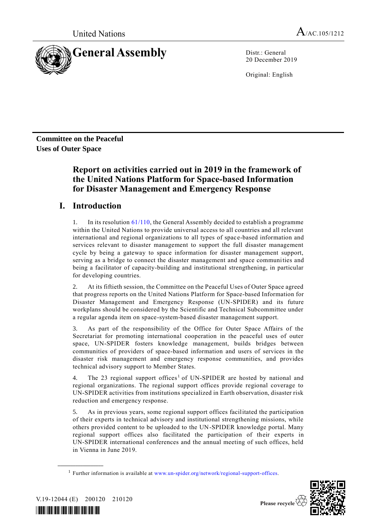

20 December 2019

Original: English

**Committee on the Peaceful Uses of Outer Space**

# **Report on activities carried out in 2019 in the framework of the United Nations Platform for Space-based Information for Disaster Management and Emergency Response**

# **I. Introduction**

1. In its resolutio[n 61/110,](http://undocs.org/A/RES/61/110) the General Assembly decided to establish a programme within the United Nations to provide universal access to all countries and all relevant international and regional organizations to all types of space-based information and services relevant to disaster management to support the full disaster management cycle by being a gateway to space information for disaster management support, serving as a bridge to connect the disaster management and space communities and being a facilitator of capacity-building and institutional strengthening, in particular for developing countries.

2. At its fiftieth session, the Committee on the Peaceful Uses of Outer Space agreed that progress reports on the United Nations Platform for Space-based Information for Disaster Management and Emergency Response (UN-SPIDER) and its future workplans should be considered by the Scientific and Technical Subcommittee under a regular agenda item on space-system-based disaster management support.

3. As part of the responsibility of the Office for Outer Space Affairs of the Secretariat for promoting international cooperation in the peaceful uses of outer space, UN-SPIDER fosters knowledge management, builds bridges between communities of providers of space-based information and users of services in the disaster risk management and emergency response communities, and provides technical advisory support to Member States.

4. The 23 regional support offices<sup>1</sup> of UN-SPIDER are hosted by national and regional organizations. The regional support offices provide regional coverage to UN-SPIDER activities from institutions specialized in Earth observation, disaster risk reduction and emergency response.

5. As in previous years, some regional support offices facilitated the participation of their experts in technical advisory and institutional strengthening missions, while others provided content to be uploaded to the UN-SPIDER knowledge portal. Many regional support offices also facilitated the participation of their experts in UN-SPIDER international conferences and the annual meeting of such offices, held in Vienna in June 2019.

<sup>&</sup>lt;sup>1</sup> Further information is available at [www.un-spider.org/network/regional-support-offices.](http://www.un-spider.org/network/regional-support-offices)



V.19-12044 (E) 200120 210120

**\_\_\_\_\_\_\_\_\_\_\_\_\_\_\_\_\_\_**

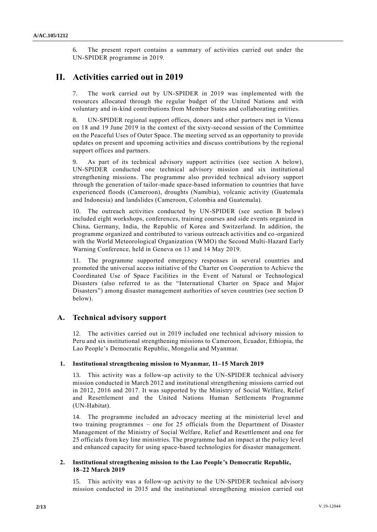6. The present report contains a summary of activities carried out under the UN-SPIDER programme in 2019.

# **II. Activities carried out in 2019**

7. The work carried out by UN-SPIDER in 2019 was implemented with the resources allocated through the regular budget of the United Nations and with voluntary and in-kind contributions from Member States and collaborating entities.

8. UN-SPIDER regional support offices, donors and other partners met in Vienna on 18 and 19 June 2019 in the context of the sixty-second session of the Committee on the Peaceful Uses of Outer Space. The meeting served as an opportunity to provide updates on present and upcoming activities and discuss contributions by the regional support offices and partners.

9. As part of its technical advisory support activities (see section A below), UN-SPIDER conducted one technical advisory mission and six institutional strengthening missions. The programme also provided technical advisory support through the generation of tailor-made space-based information to countries that have experienced floods (Cameroon), droughts (Namibia), volcanic activity (Guatemala and Indonesia) and landslides (Cameroon, Colombia and Guatemala).

10. The outreach activities conducted by UN-SPIDER (see section B below) included eight workshops, conferences, training courses and side events organized in China, Germany, India, the Republic of Korea and Switzerland. In addition, the programme organized and contributed to various outreach activities and co -organized with the World Meteorological Organization (WMO) the Second Multi-Hazard Early Warning Conference, held in Geneva on 13 and 14 May 2019.

11. The programme supported emergency responses in several countries and promoted the universal access initiative of the Charter on Cooperation to Achieve the Coordinated Use of Space Facilities in the Event of Natural or Technological Disasters (also referred to as the "International Charter on Space and Major Disasters") among disaster management authorities of seven countries (see section D below).

# **A. Technical advisory support**

12. The activities carried out in 2019 included one technical advisory mission to Peru and six institutional strengthening missions to Cameroon, Ecuador, Ethiopia, the Lao People's Democratic Republic, Mongolia and Myanmar.

#### **1. Institutional strengthening mission to Myanmar, 11–15 March 2019**

13. This activity was a follow-up activity to the UN-SPIDER technical advisory mission conducted in March 2012 and institutional strengthening missions carried out in 2012, 2016 and 2017. It was supported by the Ministry of Social Welfare, Relief and Resettlement and the United Nations Human Settlements Programme (UN-Habitat).

14. The programme included an advocacy meeting at the ministerial level and two training programmes – one for 25 officials from the Department of Disaster Management of the Ministry of Social Welfare, Relief and Resettlement and one for 25 officials from key line ministries. The programme had an impact at the policy level and enhanced capacity for using space-based technologies for disaster management.

# **2. Institutional strengthening mission to the Lao People's Democratic Republic, 18–22 March 2019**

15. This activity was a follow-up activity to the UN-SPIDER technical advisory mission conducted in 2015 and the institutional strengthening mission carried out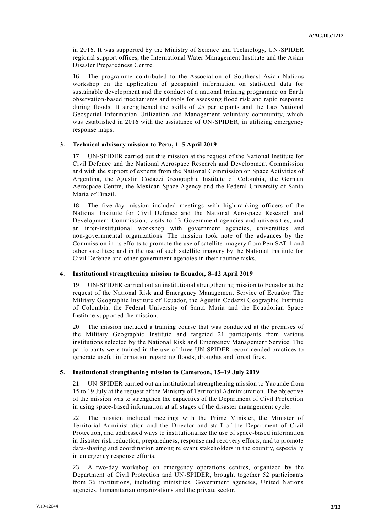in 2016. It was supported by the Ministry of Science and Technology, UN-SPIDER regional support offices, the International Water Management Institute and the Asian Disaster Preparedness Centre.

16. The programme contributed to the Association of Southeast Asian Nations workshop on the application of geospatial information on statistical data for sustainable development and the conduct of a national training programme on Earth observation-based mechanisms and tools for assessing flood risk and rapid response during floods. It strengthened the skills of 25 participants and the Lao National Geospatial Information Utilization and Management voluntary community, which was established in 2016 with the assistance of UN-SPIDER, in utilizing emergency response maps.

#### **3. Technical advisory mission to Peru, 1–5 April 2019**

17. UN-SPIDER carried out this mission at the request of the National Institute for Civil Defence and the National Aerospace Research and Development Commission and with the support of experts from the National Commission on Space Activities of Argentina, the Agustin Codazzi Geographic Institute of Colombia, the German Aerospace Centre, the Mexican Space Agency and the Federal University of Santa Maria of Brazil.

18. The five-day mission included meetings with high-ranking officers of the National Institute for Civil Defence and the National Aerospace Research and Development Commission, visits to 13 Government agencies and universities, and an inter-institutional workshop with government agencies, universities and non-governmental organizations. The mission took note of the advances by the Commission in its efforts to promote the use of satellite imagery from PeruSAT-1 and other satellites; and in the use of such satellite imagery by the National Institute for Civil Defence and other government agencies in their routine tasks.

### **4. Institutional strengthening mission to Ecuador, 8–12 April 2019**

19. UN-SPIDER carried out an institutional strengthening mission to Ecuador at the request of the National Risk and Emergency Management Service of Ecuador. The Military Geographic Institute of Ecuador, the Agustin Codazzi Geographic Institute of Colombia, the Federal University of Santa Maria and the Ecuadorian Space Institute supported the mission.

20. The mission included a training course that was conducted at the premises of the Military Geographic Institute and targeted 21 participants from various institutions selected by the National Risk and Emergency Management Service. The participants were trained in the use of three UN-SPIDER recommended practices to generate useful information regarding floods, droughts and forest fires.

# **5. Institutional strengthening mission to Cameroon, 15–19 July 2019**

21. UN-SPIDER carried out an institutional strengthening mission to Yaoundé from 15 to 19 July at the request of the Ministry of Territorial Administration. The objective of the mission was to strengthen the capacities of the Department of Civil Protection in using space-based information at all stages of the disaster management cycle.

22. The mission included meetings with the Prime Minister, the Minister of Territorial Administration and the Director and staff of the Department of Civil Protection, and addressed ways to institutionalize the use of space -based information in disaster risk reduction, preparedness, response and recovery efforts, and to promote data-sharing and coordination among relevant stakeholders in the country, especially in emergency response efforts.

23. A two-day workshop on emergency operations centres, organized by the Department of Civil Protection and UN-SPIDER, brought together 52 participants from 36 institutions, including ministries, Government agencies, United Nations agencies, humanitarian organizations and the private sector.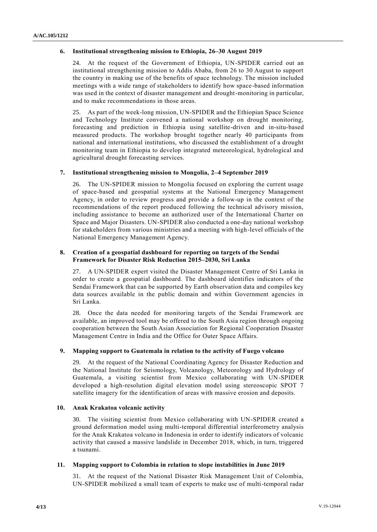### **6. Institutional strengthening mission to Ethiopia, 26–30 August 2019**

24. At the request of the Government of Ethiopia, UN-SPIDER carried out an institutional strengthening mission to Addis Ababa, from 26 to 30 August to support the country in making use of the benefits of space technology. The mission included meetings with a wide range of stakeholders to identify how space -based information was used in the context of disaster management and drought-monitoring in particular, and to make recommendations in those areas.

25. As part of the week-long mission, UN-SPIDER and the Ethiopian Space Science and Technology Institute convened a national workshop on drought monitoring, forecasting and prediction in Ethiopia using satellite-driven and in-situ-based measured products. The workshop brought together nearly 40 participants from national and international institutions, who discussed the establishment of a drought monitoring team in Ethiopia to develop integrated meteorological, hydrological and agricultural drought forecasting services.

### **7. Institutional strengthening mission to Mongolia, 2–4 September 2019**

26. The UN-SPIDER mission to Mongolia focused on exploring the current usage of space-based and geospatial systems at the National Emergency Management Agency, in order to review progress and provide a follow-up in the context of the recommendations of the report produced following the technical advisory mission, including assistance to become an authorized user of the International Charter on Space and Major Disasters. UN-SPIDER also conducted a one-day national workshop for stakeholders from various ministries and a meeting with high-level officials of the National Emergency Management Agency.

# **8. Creation of a geospatial dashboard for reporting on targets of the Sendai Framework for Disaster Risk Reduction 2015–2030, Sri Lanka**

27. A UN-SPIDER expert visited the Disaster Management Centre of Sri Lanka in order to create a geospatial dashboard. The dashboard identifies indicators of the Sendai Framework that can be supported by Earth observation data and compiles key data sources available in the public domain and within Government agencies in Sri Lanka.

28. Once the data needed for monitoring targets of the Sendai Framework are available, an improved tool may be offered to the South Asia region through ongoing cooperation between the South Asian Association for Regional Cooperation Disaster Management Centre in India and the Office for Outer Space Affairs.

# **9. Mapping support to Guatemala in relation to the activity of Fuego volcano**

29. At the request of the National Coordinating Agency for Disaster Reduction and the National Institute for Seismology, Volcanology, Meteorology and Hydrology of Guatemala, a visiting scientist from Mexico collaborating with UN-SPIDER developed a high-resolution digital elevation model using stereoscopic SPOT 7 satellite imagery for the identification of areas with massive erosion and deposits.

#### **10. Anak Krakatoa volcanic activity**

30. The visiting scientist from Mexico collaborating with UN-SPIDER created a ground deformation model using multi-temporal differential interferometry analysis for the Anak Krakatoa volcano in Indonesia in order to identify indicators of volcanic activity that caused a massive landslide in December 2018, which, in turn, triggered a tsunami.

#### **11. Mapping support to Colombia in relation to slope instabilities in June 2019**

31. At the request of the National Disaster Risk Management Unit of Colombia, UN-SPIDER mobilized a small team of experts to make use of multi-temporal radar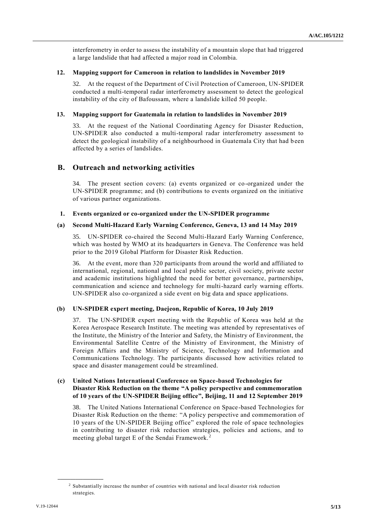interferometry in order to assess the instability of a mountain slope that had triggered a large landslide that had affected a major road in Colombia.

#### **12. Mapping support for Cameroon in relation to landslides in November 2019**

32. At the request of the Department of Civil Protection of Cameroon, UN-SPIDER conducted a multi-temporal radar interferometry assessment to detect the geological instability of the city of Bafoussam, where a landslide killed 50 people.

### **13. Mapping support for Guatemala in relation to landslides in November 2019**

33. At the request of the National Coordinating Agency for Disaster Reduction, UN-SPIDER also conducted a multi-temporal radar interferometry assessment to detect the geological instability of a neighbourhood in Guatemala City that had b een affected by a series of landslides.

# **B. Outreach and networking activities**

34. The present section covers: (a) events organized or co-organized under the UN-SPIDER programme; and (b) contributions to events organized on the initiative of various partner organizations.

#### **1. Events organized or co-organized under the UN-SPIDER programme**

# **(a) Second Multi-Hazard Early Warning Conference, Geneva, 13 and 14 May 2019**

35. UN-SPIDER co-chaired the Second Multi-Hazard Early Warning Conference, which was hosted by WMO at its headquarters in Geneva. The Conference was held prior to the 2019 Global Platform for Disaster Risk Reduction.

36. At the event, more than 320 participants from around the world and affiliated to international, regional, national and local public sector, civil society, private sector and academic institutions highlighted the need for better governance, partnerships, communication and science and technology for multi-hazard early warning efforts. UN-SPIDER also co-organized a side event on big data and space applications.

### **(b) UN-SPIDER expert meeting, Daejeon, Republic of Korea, 10 July 2019**

37. The UN-SPIDER expert meeting with the Republic of Korea was held at the Korea Aerospace Research Institute. The meeting was attended by representatives of the Institute, the Ministry of the Interior and Safety, the Ministry of Environment, the Environmental Satellite Centre of the Ministry of Environment, the Ministry of Foreign Affairs and the Ministry of Science, Technology and Information and Communications Technology. The participants discussed how activities related to space and disaster management could be streamlined.

# **(c) United Nations International Conference on Space-based Technologies for Disaster Risk Reduction on the theme "A policy perspective and commemoration of 10 years of the UN-SPIDER Beijing office", Beijing, 11 and 12 September 2019**

38. The United Nations International Conference on Space-based Technologies for Disaster Risk Reduction on the theme: "A policy perspective and commemoration of 10 years of the UN-SPIDER Beijing office" explored the role of space technologies in contributing to disaster risk reduction strategies, policies and actions, and to meeting global target E of the Sendai Framework. <sup>2</sup>

**\_\_\_\_\_\_\_\_\_\_\_\_\_\_\_\_\_\_**

<sup>2</sup> Substantially increase the number of countries with national and local disaster risk reduction strategies.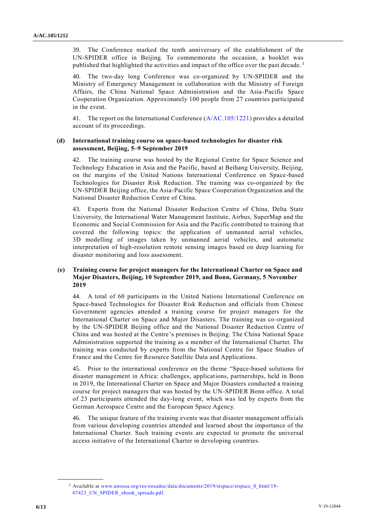39. The Conference marked the tenth anniversary of the establishment of the UN-SPIDER office in Beijing. To commemorate the occasion, a booklet was published that highlighted the activities and impact of the office over the past decade.<sup>3</sup>

40. The two-day long Conference was co-organized by UN-SPIDER and the Ministry of Emergency Management in collaboration with the Ministry of Foreign Affairs, the China National Space Administration and the Asia-Pacific Space Cooperation Organization. Approximately 100 people from 27 countries participated in the event.

41. The report on the International Conference [\(A/AC.105/1221\)](http://undocs.org/A/AC.105/1221) provides a detailed account of its proceedings.

# **(d) International training course on space-based technologies for disaster risk assessment, Beijing, 5–9 September 2019**

42. The training course was hosted by the Regional Centre for Space Science and Technology Education in Asia and the Pacific, based at Beihang University, Beijing, on the margins of the United Nations International Conference on Space-based Technologies for Disaster Risk Reduction. The training was co-organized by the UN-SPIDER Beijing office, the Asia-Pacific Space Cooperation Organization and the National Disaster Reduction Centre of China.

43. Experts from the National Disaster Reduction Centre of China, Delta State University, the International Water Management Institute, Airbus, SuperMap and the Economic and Social Commission for Asia and the Pacific contributed to training that covered the following topics: the application of unmanned aerial vehicles, 3D modelling of images taken by unmanned aerial vehicles, and automatic interpretation of high-resolution remote sensing images based on deep learning for disaster monitoring and loss assessment.

# **(e) Training course for project managers for the International Charter on Space and Major Disasters, Beijing, 10 September 2019, and Bonn, Germany, 5 November 2019**

44. A total of 60 participants in the United Nations International Conference on Space-based Technologies for Disaster Risk Reduction and officials from Chinese Government agencies attended a training course for project managers for the International Charter on Space and Major Disasters. The training was co -organized by the UN-SPIDER Beijing office and the National Disaster Reduction Centre of China and was hosted at the Centre's premises in Beijing. The China National Space Administration supported the training as a member of the International Charter. The training was conducted by experts from the National Centre for Space Studies of France and the Centre for Resource Satellite Data and Applications.

45. Prior to the international conference on the theme "Space-based solutions for disaster management in Africa: challenges, applications, partnerships, held in Bonn in 2019, the International Charter on Space and Major Disasters conducted a training course for project managers that was hosted by the UN-SPIDER Bonn office. A total of 23 participants attended the day-long event, which was led by experts from the German Aerospace Centre and the European Space Agency.

46. The unique feature of the training events was that disaster management officials from various developing countries attended and learned about the importance of the International Charter. Such training events are expected to promote the universal access initiative of the International Charter in developing countries.

**\_\_\_\_\_\_\_\_\_\_\_\_\_\_\_\_\_\_**

<sup>&</sup>lt;sup>3</sup> Available at [www.unoosa.org/res/oosadoc/data/documents/2019/stspace/stspace\\_0\\_html/19](http://www.unoosa.org/res/oosadoc/data/documents/2019/stspace/stspace_0_html/19-07423_UN_SPIDER_ebook_spreads.pdf) -[07423\\_UN\\_SPIDER\\_ebook\\_spreads.pdf.](http://www.unoosa.org/res/oosadoc/data/documents/2019/stspace/stspace_0_html/19-07423_UN_SPIDER_ebook_spreads.pdf)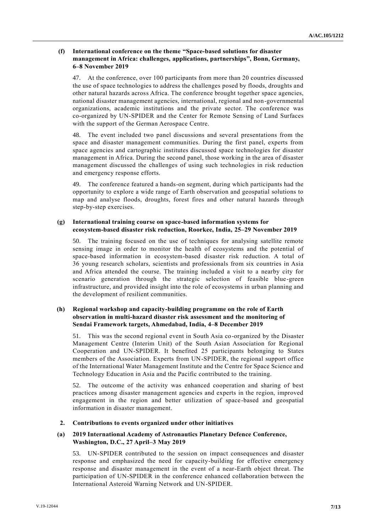# **(f) International conference on the theme "Space-based solutions for disaster management in Africa: challenges, applications, partnerships", Bonn, Germany, 6–8 November 2019**

At the conference, over 100 participants from more than 20 countries discussed the use of space technologies to address the challenges posed by floods, droughts and other natural hazards across Africa. The conference brought together space agencies, national disaster management agencies, international, regional and non-governmental organizations, academic institutions and the private sector. The conference was co-organized by UN-SPIDER and the Center for Remote Sensing of Land Surfaces with the support of the German Aerospace Centre.

48. The event included two panel discussions and several presentations from the space and disaster management communities. During the first panel, experts from space agencies and cartographic institutes discussed space technologies for disaster management in Africa. During the second panel, those working in the area of disaster management discussed the challenges of using such technologies in risk reduction and emergency response efforts.

49. The conference featured a hands-on segment, during which participants had the opportunity to explore a wide range of Earth observation and geospatial solutions to map and analyse floods, droughts, forest fires and other natural hazards through step-by-step exercises.

# **(g) International training course on space-based information systems for ecosystem-based disaster risk reduction, Roorkee, India, 25–29 November 2019**

50. The training focused on the use of techniques for analysing satellite remote sensing image in order to monitor the health of ecosystems and the potential of space-based information in ecosystem-based disaster risk reduction. A total of 36 young research scholars, scientists and professionals from six countries in Asia and Africa attended the course. The training included a visit to a nearby city for scenario generation through the strategic selection of feasible blue -green infrastructure, and provided insight into the role of ecosystems in urban planning and the development of resilient communities.

# **(h) Regional workshop and capacity-building programme on the role of Earth observation in multi-hazard disaster risk assessment and the monitoring of Sendai Framework targets, Ahmedabad, India, 4–8 December 2019**

51. This was the second regional event in South Asia co-organized by the Disaster Management Centre (Interim Unit) of the South Asian Association for Regional Cooperation and UN-SPIDER. It benefited 25 participants belonging to States members of the Association. Experts from UN-SPIDER, the regional support office of the International Water Management Institute and the Centre for Space Science and Technology Education in Asia and the Pacific contributed to the training.

52. The outcome of the activity was enhanced cooperation and sharing of best practices among disaster management agencies and experts in the region, improved engagement in the region and better utilization of space-based and geospatial information in disaster management.

# **2. Contributions to events organized under other initiatives**

# **(a) 2019 International Academy of Astronautics Planetary Defence Conference, Washington, D.C., 27 April–3 May 2019**

53. UN-SPIDER contributed to the session on impact consequences and disaster response and emphasized the need for capacity-building for effective emergency response and disaster management in the event of a near-Earth object threat. The participation of UN-SPIDER in the conference enhanced collaboration between the International Asteroid Warning Network and UN-SPIDER.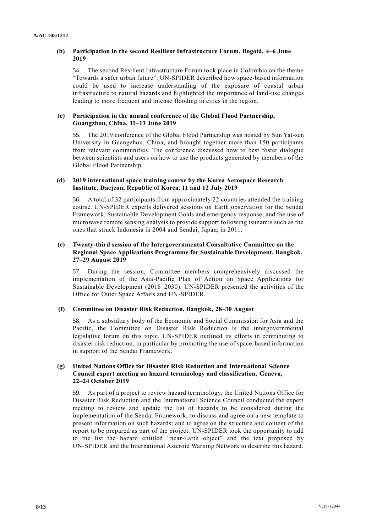# **(b) Participation in the second Resilient Infrastructure Forum, Bogotá, 4–6 June 2019**

54. The second Resilient Infrastructure Forum took place in Colombia on the theme "Towards a safer urban future". UN-SPIDER described how space-based information could be used to increase understanding of the exposure of coastal urban infrastructure to natural hazards and highlighted the importance of land -use changes leading to more frequent and intense flooding in cities in the region.

# **(c) Participation in the annual conference of the Global Flood Partnership, Guangzhou, China, 11–13 June 2019**

55. The 2019 conference of the Global Flood Partnership was hosted by Sun Yat-sen University in Guangzhou, China, and brought together more than 150 participants from relevant communities. The conference discussed how to best foster dialogue between scientists and users on how to use the products generated by members of the Global Flood Partnership.

# **(d) 2019 international space training course by the Korea Aerospace Research Institute, Daejeon, Republic of Korea, 11 and 12 July 2019**

56. A total of 32 participants from approximately 22 countries attended the training course. UN-SPIDER experts delivered sessions on Earth observation for the Sendai Framework, Sustainable Development Goals and emergency response; and the use of microwave remote sensing analysis to provide support following tsunamis such as the ones that struck Indonesia in 2004 and Sendai, Japan, in 2011.

# **(e) Twenty-third session of the Intergovernmental Consultative Committee on the Regional Space Applications Programme for Sustainable Development, Bangkok, 27–29 August 2019**

57. During the session, Committee members comprehensively discussed the implementation of the Asia-Pacific Plan of Action on Space Applications for Sustainable Development (2018–2030). UN-SPIDER presented the activities of the Office for Outer Space Affairs and UN-SPIDER.

# **(f) Committee on Disaster Risk Reduction, Bangkok, 28–30 August**

58. As a subsidiary body of the Economic and Social Commission for Asia and the Pacific, the Committee on Disaster Risk Reduction is the intergovernmental legislative forum on this topic. UN-SPIDER outlined its efforts in contributing to disaster risk reduction, in particular by promoting the use of space-based information in support of the Sendai Framework.

# **(g) United Nations Office for Disaster Risk Reduction and International Science Council expert meeting on hazard terminology and classification, Geneva, 22–24 October 2019**

59. As part of a project to review hazard terminology, the United Nations Office for Disaster Risk Reduction and the International Science Council conducted the expert meeting to review and update the list of hazards to be consider ed during the implementation of the Sendai Framework; to discuss and agree on a new template to present information on such hazards; and to agree on the structure and content of the report to be prepared as part of the project. UN-SPIDER took the opportunity to add to the list the hazard entitled "near-Earth object" and the text proposed by UN-SPIDER and the International Asteroid Warning Network to describe this hazard.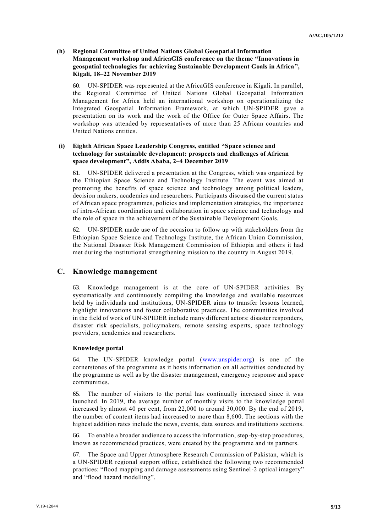# **(h) Regional Committee of United Nations Global Geospatial Information Management workshop and AfricaGIS conference on the theme "Innovations in geospatial technologies for achieving Sustainable Development Goals in Africa", Kigali, 18–22 November 2019**

60. UN-SPIDER was represented at the AfricaGIS conference in Kigali. In parallel, the Regional Committee of United Nations Global Geospatial Information Management for Africa held an international workshop on operationalizing the Integrated Geospatial Information Framework, at which UN-SPIDER gave a presentation on its work and the work of the Office for Outer Space Affairs. The workshop was attended by representatives of more than 25 African countries and United Nations entities.

# **(i) Eighth African Space Leadership Congress, entitled "Space science and technology for sustainable development: prospects and challenges of African space development", Addis Ababa, 2–4 December 2019**

61. UN-SPIDER delivered a presentation at the Congress, which was organized by the Ethiopian Space Science and Technology Institute. The event was aimed at promoting the benefits of space science and technology among political leaders, decision makers, academics and researchers. Participants discussed the current status of African space programmes, policies and implementation strategies, the importance of intra-African coordination and collaboration in space science and technology and the role of space in the achievement of the Sustainable Development Goals.

62. UN-SPIDER made use of the occasion to follow up with stakeholders from the Ethiopian Space Science and Technology Institute, the African Union Commission, the National Disaster Risk Management Commission of Ethiopia and others it had met during the institutional strengthening mission to the country in August 2019.

# **C. Knowledge management**

63. Knowledge management is at the core of UN-SPIDER activities. By systematically and continuously compiling the knowledge and available resources held by individuals and institutions, UN-SPIDER aims to transfer lessons learned, highlight innovations and foster collaborative practices. The communities involved in the field of work of UN-SPIDER include many different actors: disaster responders, disaster risk specialists, policymakers, remote sensing experts, space technology providers, academics and researchers.

# **Knowledge portal**

64. The UN-SPIDER knowledge portal [\(www.unspider.org\)](http://www.unspider.org/) is one of the cornerstones of the programme as it hosts information on all activities conducted by the programme as well as by the disaster management, emergency response and space communities.

65. The number of visitors to the portal has continually increased since it was launched. In 2019, the average number of monthly visits to the knowledge portal increased by almost 40 per cent, from 22,000 to around 30,000. By the end of 2019, the number of content items had increased to more than 8,600. The sections with the highest addition rates include the news, events, data sources and institutions sections.

66. To enable a broader audience to access the information, step-by-step procedures, known as recommended practices, were created by the programme and its partners.

67. The Space and Upper Atmosphere Research Commission of Pakistan, which is a UN-SPIDER regional support office, established the following two recommended practices: "flood mapping and damage assessments using Sentinel-2 optical imagery" and "flood hazard modelling".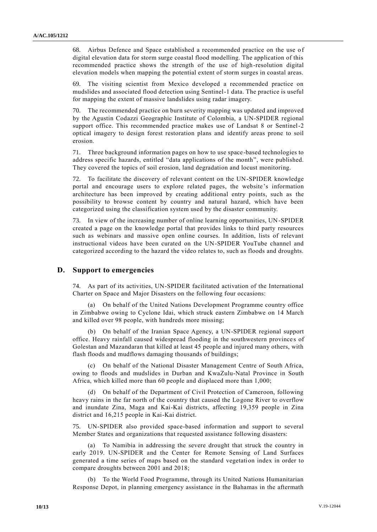68. Airbus Defence and Space established a recommended practice on the use of digital elevation data for storm surge coastal flood modelling. The application of this recommended practice shows the strength of the use of high-resolution digital elevation models when mapping the potential extent of storm surges in coastal areas.

69. The visiting scientist from Mexico developed a recommended practice on mudslides and associated flood detection using Sentinel-1 data. The practice is useful for mapping the extent of massive landslides using radar imagery.

70. The recommended practice on burn severity mapping was updated and improved by the Agustin Codazzi Geographic Institute of Colombia, a UN-SPIDER regional support office. This recommended practice makes use of Landsat 8 or Sentinel-2 optical imagery to design forest restoration plans and identify areas prone to soil erosion.

71. Three background information pages on how to use space-based technologies to address specific hazards, entitled "data applications of the month", were published. They covered the topics of soil erosion, land degradation and locust monitoring.

72. To facilitate the discovery of relevant content on the UN-SPIDER knowledge portal and encourage users to explore related pages, the website 's information architecture has been improved by creating additional entry points, such as the possibility to browse content by country and natural hazard, which have been categorized using the classification system used by the disaster community.

73. In view of the increasing number of online learning opportunities, UN-SPIDER created a page on the knowledge portal that provides links to third party resources such as webinars and massive open online courses. In addition, lists of relevant instructional videos have been curated on the UN-SPIDER YouTube channel and categorized according to the hazard the video relates to, such as floods and droughts.

# **D. Support to emergencies**

74. As part of its activities, UN-SPIDER facilitated activation of the International Charter on Space and Major Disasters on the following four occasions:

(a) On behalf of the United Nations Development Programme country office in Zimbabwe owing to Cyclone Idai, which struck eastern Zimbabwe on 14 March and killed over 98 people, with hundreds more missing;

(b) On behalf of the Iranian Space Agency, a UN-SPIDER regional support office. Heavy rainfall caused widespread flooding in the southwestern province s of Golestan and Mazandaran that killed at least 45 people and injured many others, with flash floods and mudflows damaging thousands of buildings;

(c) On behalf of the National Disaster Management Centre of South Africa, owing to floods and mudslides in Durban and KwaZulu-Natal Province in South Africa, which killed more than 60 people and displaced more than 1,000;

(d) On behalf of the Department of Civil Protection of Cameroon, following heavy rains in the far north of the country that caused the Logone River to overflow and inundate Zina, Maga and Kai-Kai districts, affecting 19,359 people in Zina district and 16,215 people in Kai-Kai district.

75. UN-SPIDER also provided space-based information and support to several Member States and organizations that requested assistance following disasters:

(a) To Namibia in addressing the severe drought that struck the country in early 2019. UN-SPIDER and the Center for Remote Sensing of Land Surfaces generated a time series of maps based on the standard vegetation index in order to compare droughts between 2001 and 2018;

(b) To the World Food Programme, through its United Nations Humanitarian Response Depot, in planning emergency assistance in the Bahamas in the aftermath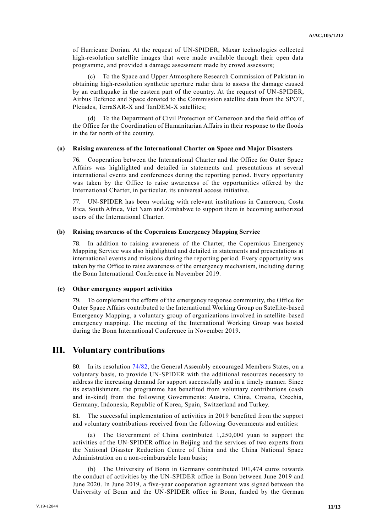of Hurricane Dorian. At the request of UN-SPIDER, Maxar technologies collected high-resolution satellite images that were made available through their open data programme, and provided a damage assessment made by crowd assessors;

(c) To the Space and Upper Atmosphere Research Commission of Pakistan in obtaining high-resolution synthetic aperture radar data to assess the damage caused by an earthquake in the eastern part of the country. At the request of UN-SPIDER, Airbus Defence and Space donated to the Commission satellite data from the SPOT, Pleiades, TerraSAR-X and TanDEM-X satellites;

(d) To the Department of Civil Protection of Cameroon and the field office of the Office for the Coordination of Humanitarian Affairs in their response to the floods in the far north of the country.

#### **(a) Raising awareness of the International Charter on Space and Major Disasters**

76. Cooperation between the International Charter and the Office for Outer Space Affairs was highlighted and detailed in statements and presentations at several international events and conferences during the reporting period. Every opportunity was taken by the Office to raise awareness of the opportunities offered by the International Charter, in particular, its universal access initiative.

77. UN-SPIDER has been working with relevant institutions in Cameroon, Costa Rica, South Africa, Viet Nam and Zimbabwe to support them in becoming authorized users of the International Charter.

#### **(b) Raising awareness of the Copernicus Emergency Mapping Service**

78. In addition to raising awareness of the Charter, the Copernicus Emergency Mapping Service was also highlighted and detailed in statements and presentations at international events and missions during the reporting period. Every opportunity was taken by the Office to raise awareness of the emergency mechanism, including during the Bonn International Conference in November 2019.

#### **(c) Other emergency support activities**

79. To complement the efforts of the emergency response community, the Office for Outer Space Affairs contributed to the International Working Group on Satellite-based Emergency Mapping, a voluntary group of organizations involved in satellite -based emergency mapping. The meeting of the International Working Group was hosted during the Bonn International Conference in November 2019.

# **III. Voluntary contributions**

80. In its resolution [74/82,](http://undocs.org/A/RES/74/82) the General Assembly encouraged Members States, on a voluntary basis, to provide UN-SPIDER with the additional resources necessary to address the increasing demand for support successfully and in a timely manner. Since its establishment, the programme has benefited from voluntary contributions (cash and in-kind) from the following Governments: Austria, China, Croatia, Czechia, Germany, Indonesia, Republic of Korea, Spain, Switzerland and Turkey.

81. The successful implementation of activities in 2019 benefited from the support and voluntary contributions received from the following Governments and entities:

(a) The Government of China contributed 1,250,000 yuan to support the activities of the UN-SPIDER office in Beijing and the services of two experts from the National Disaster Reduction Centre of China and the China National Space Administration on a non-reimbursable loan basis;

(b) The University of Bonn in Germany contributed 101,474 euros towards the conduct of activities by the UN-SPIDER office in Bonn between June 2019 and June 2020. In June 2019, a five-year cooperation agreement was signed between the University of Bonn and the UN-SPIDER office in Bonn, funded by the German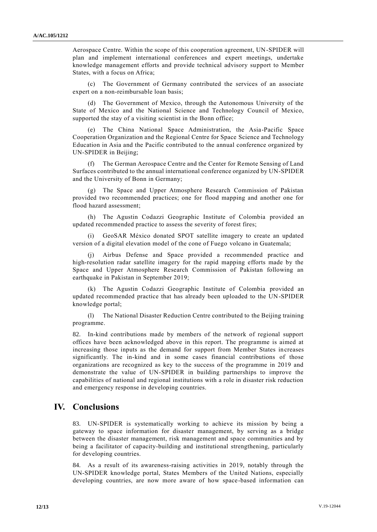Aerospace Centre. Within the scope of this cooperation agreement, UN-SPIDER will plan and implement international conferences and expert meetings, undertake knowledge management efforts and provide technical advisory support to Member States, with a focus on Africa;

(c) The Government of Germany contributed the services of an associate expert on a non-reimbursable loan basis;

(d) The Government of Mexico, through the Autonomous University of the State of Mexico and the National Science and Technology Council of Mexico, supported the stay of a visiting scientist in the Bonn office;

(e) The China National Space Administration, the Asia-Pacific Space Cooperation Organization and the Regional Centre for Space Science and Technology Education in Asia and the Pacific contributed to the annual conference organized by UN-SPIDER in Beijing;

(f) The German Aerospace Centre and the Center for Remote Sensing of Land Surfaces contributed to the annual international conference organized by UN-SPIDER and the University of Bonn in Germany;

(g) The Space and Upper Atmosphere Research Commission of Pakistan provided two recommended practices; one for flood mapping and another one for flood hazard assessment;

(h) The Agustin Codazzi Geographic Institute of Colombia provided an updated recommended practice to assess the severity of forest fires;

GeoSAR México donated SPOT satellite imagery to create an updated version of a digital elevation model of the cone of Fuego volcano in Guatemala;

Airbus Defense and Space provided a recommended practice and high-resolution radar satellite imagery for the rapid mapping efforts made by the Space and Upper Atmosphere Research Commission of Pakistan following an earthquake in Pakistan in September 2019;

(k) The Agustin Codazzi Geographic Institute of Colombia provided an updated recommended practice that has already been uploaded to the UN-SPIDER knowledge portal;

(l) The National Disaster Reduction Centre contributed to the Beijing training programme.

82. In-kind contributions made by members of the network of regional support offices have been acknowledged above in this report. The programme is aimed at increasing those inputs as the demand for support from Member States increases significantly. The in-kind and in some cases financial contributions of those organizations are recognized as key to the success of the programme in 2019 and demonstrate the value of UN-SPIDER in building partnerships to improve the capabilities of national and regional institutions with a role in disaster risk reduction and emergency response in developing countries.

# **IV. Conclusions**

83. UN-SPIDER is systematically working to achieve its mission by being a gateway to space information for disaster management, by serving as a bridge between the disaster management, risk management and space communities and by being a facilitator of capacity-building and institutional strengthening, particularly for developing countries.

84. As a result of its awareness-raising activities in 2019, notably through the UN-SPIDER knowledge portal, States Members of the United Nations, especially developing countries, are now more aware of how space-based information can